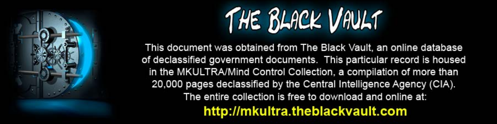

This document was obtained from The Black Vault, an online database of declassified government documents. This particular record is housed in the MKULTRA/Mind Control Collection, a compilation of more than 20,000 pages declassified by the Central Intelligence Agency (CIA). The entire collection is free to download and online at: http://mkultra.theblackvault.com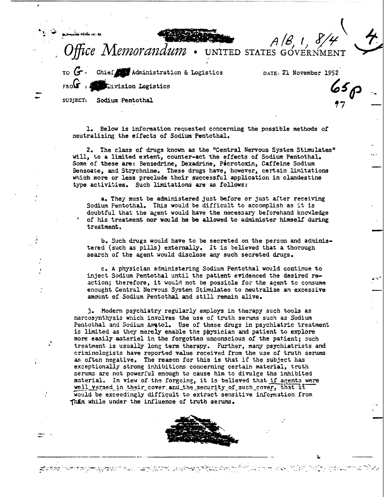

Chief Administration & Logistics DATE: 21 November 1952 **Communistics** in Logistics

UNITED STATES GOVERNME

 $\left\langle \right\rangle$ 

 $\sim$   $\mu$ 

 $. . . .$ 

ا<br>-<br>-

.. - 'P • -· *.\_.,:· ..* ...

'7

- -

..<br>.. - الموضوع التي يوسع التي يستوفر الموضوع الموضوع الموضوع الموضوع.<br>.. الموضوع الموضوع الموضوع الموضوع الموضوع الموضوع الموضوع الموضوع الموضوع الموضوع الموضوع الموضوع الموضوع الم

SUDJECT: Sodium Pentothal

.\

1. Below is information requested concerning the possible methods of neutralizing the effects of Sodium Pentothal.

2. The class of drugs known as the "Central Nervous System Stimulates" will, to a limited extent, counter-act the effects of Sodium Pentothal. Some of these are: Benzedrine, Dexadrine, Picrotoxin, Caffeine Sodium Benzoate, and Strychnine. These drugs have, however, certain limitations which more or less preclude their successful application in clandestine type activities. Such limitations are as follows:

a. They must be administered just before or just after receiving Sodium Pentothal. This would be difficult to accomplish as it is doubtful that the agent would have the necessary beforehand knowledge of his treatment nor would he be allowed to administer himself during treatment.

b. Such drugs would have to be secreted on the person and administered (such as pills) externally. It is believed that a thorough search of the agent would disclose any such secreted drugs.

c. A physician administering Sodium Pentothal would continue to inject Sodium Pentothal until the patient evidenced the desired reaction; therefore, it would not be possible for the agent to consume enought Central Nervous System Stimulates to neutralize an excessive amount of Sodium Pentothal and still remain alive.

). Modern psychiatry regularly employs in therapy such tools as narcosynthysis which involves the use of truth serums such as Sodium Pentothal and Sodium Amatol. Use of these drugs in psychiatric treatment is limited as they merely enable the physician and patient to explore more easily materiel in the forgotten unconscious of the patient; such treatment is usually long term therapy. Further, many psychiatrists and criminologists have reported value received from the use of truth serums as often negative. The reason for this is that if the subject has exceptionally strong inhibitions concerning certain material, truth serums are not powerful enough to cause him to divulge the inhibited material. In view of the forgoing, it is believed that if agents were well versed in their cover and the security of such cover, that it would be exceedingly difficult to extract sensitive information from 1h£m while under the influence of truth serums.



الواقع المواقع المواقع المستقر المستقر المستقر المستقر المستقر المستقر المستقر المستقر المستقر المستقر المستقر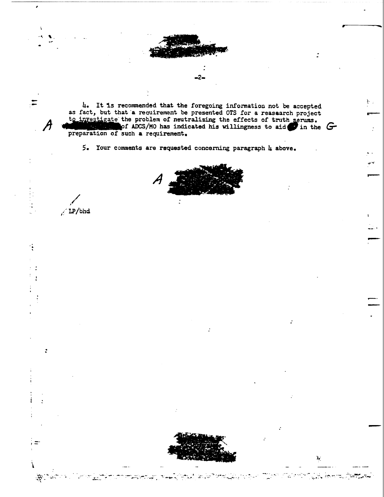

4. It is recommended that the foregoing information not be accepted<br>as fact, but that a requirement be presented OTS for a reasaarch project<br>to investigate the problem of neutralizing the effects of truth serums.<br>of ADCS/M

5. Your comments are requested concerning paragraph 4 above.

 $/ IP/bhd$ 

Ξ

 $\cdot \mathbf{.}$ 

 $\ddot{\cdot}$